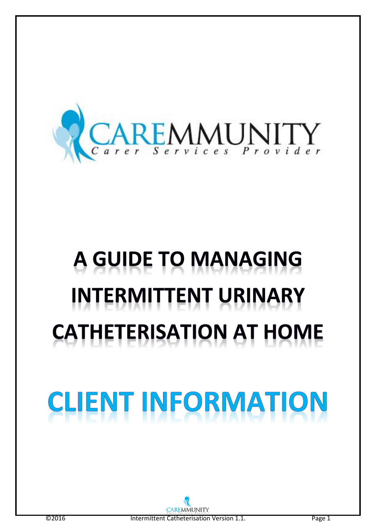

# A GUIDE TO MANAGING **INTERMITTENT URINARY CATHETERISATION AT HOME**

# ENT INFORMATIO CLI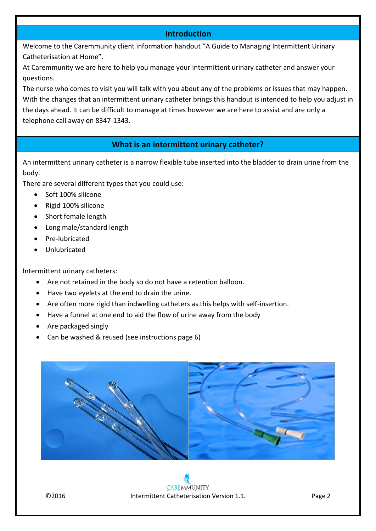### **Introduction**

Welcome to the Caremmunity client information handout "A Guide to Managing Intermittent Urinary Catheterisation at Home".

At Caremmunity we are here to help you manage your intermittent urinary catheter and answer your questions.

The nurse who comes to visit you will talk with you about any of the problems or issues that may happen. With the changes that an intermittent urinary catheter brings this handout is intended to help you adjust in the days ahead. It can be difficult to manage at times however we are here to assist and are only a telephone call away on 8347-1343.

## **What is an intermittent urinary catheter?**

An intermittent urinary catheter is a narrow flexible tube inserted into the bladder to drain urine from the body.

There are several different types that you could use:

- Soft 100% silicone
- Rigid 100% silicone
- Short female length
- Long male/standard length
- Pre-lubricated
- Unlubricated

Intermittent urinary catheters:

- Are not retained in the body so do not have a retention balloon.
- Have two eyelets at the end to drain the urine.
- Are often more rigid than indwelling catheters as this helps with self-insertion.
- Have a funnel at one end to aid the flow of urine away from the body
- Are packaged singly
- Can be washed & reused (see instructions page 6)



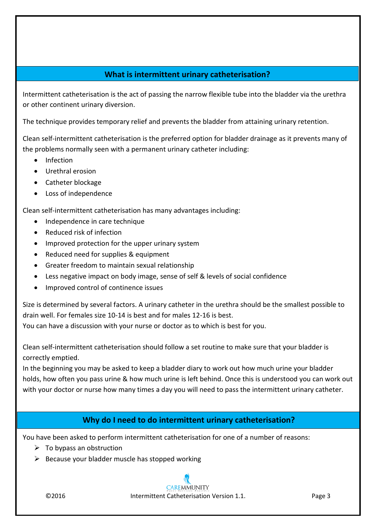# **What is intermittent urinary catheterisation?**

Intermittent catheterisation is the act of passing the narrow flexible tube into the bladder via the urethra or other continent urinary diversion.

The technique provides temporary relief and prevents the bladder from attaining urinary retention.

Clean self-intermittent catheterisation is the preferred option for bladder drainage as it prevents many of the problems normally seen with a permanent urinary catheter including:

- Infection
- Urethral erosion
- Catheter blockage
- Loss of independence

Clean self-intermittent catheterisation has many advantages including:

- Independence in care technique
- Reduced risk of infection
- Improved protection for the upper urinary system
- Reduced need for supplies & equipment
- Greater freedom to maintain sexual relationship
- Less negative impact on body image, sense of self & levels of social confidence
- Improved control of continence issues

Size is determined by several factors. A urinary catheter in the urethra should be the smallest possible to drain well. For females size 10-14 is best and for males 12-16 is best.

You can have a discussion with your nurse or doctor as to which is best for you.

Clean self-intermittent catheterisation should follow a set routine to make sure that your bladder is correctly emptied.

In the beginning you may be asked to keep a bladder diary to work out how much urine your bladder holds, how often you pass urine & how much urine is left behind. Once this is understood you can work out with your doctor or nurse how many times a day you will need to pass the intermittent urinary catheter.

# **Why do I need to do intermittent urinary catheterisation?**

You have been asked to perform intermittent catheterisation for one of a number of reasons:

- $\triangleright$  To bypass an obstruction
- $\triangleright$  Because your bladder muscle has stopped working

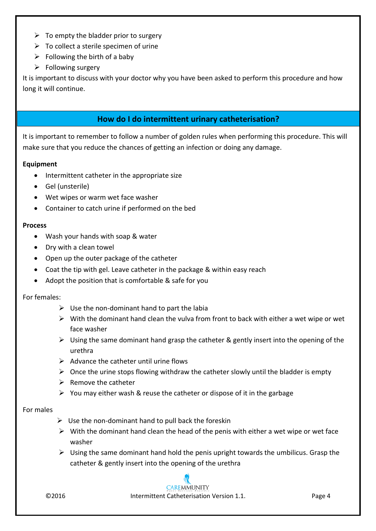- $\triangleright$  To empty the bladder prior to surgery
- $\triangleright$  To collect a sterile specimen of urine
- $\triangleright$  Following the birth of a baby
- $\triangleright$  Following surgery

It is important to discuss with your doctor why you have been asked to perform this procedure and how long it will continue.

# **How do I do intermittent urinary catheterisation?**

It is important to remember to follow a number of golden rules when performing this procedure. This will make sure that you reduce the chances of getting an infection or doing any damage.

#### **Equipment**

- **•** Intermittent catheter in the appropriate size
- Gel (unsterile)
- Wet wipes or warm wet face washer
- **•** Container to catch urine if performed on the bed

#### **Process**

- Wash your hands with soap & water
- Dry with a clean towel
- Open up the outer package of the catheter
- Coat the tip with gel. Leave catheter in the package & within easy reach
- Adopt the position that is comfortable & safe for you

#### For females:

- $\triangleright$  Use the non-dominant hand to part the labia
- $\triangleright$  With the dominant hand clean the vulva from front to back with either a wet wipe or wet face washer
- $\triangleright$  Using the same dominant hand grasp the catheter & gently insert into the opening of the urethra
- $\triangleright$  Advance the catheter until urine flows
- $\triangleright$  Once the urine stops flowing withdraw the catheter slowly until the bladder is empty
- $\triangleright$  Remove the catheter
- $\triangleright$  You may either wash & reuse the catheter or dispose of it in the garbage

#### For males

- $\triangleright$  Use the non-dominant hand to pull back the foreskin
- $\triangleright$  With the dominant hand clean the head of the penis with either a wet wipe or wet face washer
- $\triangleright$  Using the same dominant hand hold the penis upright towards the umbilicus. Grasp the catheter & gently insert into the opening of the urethra

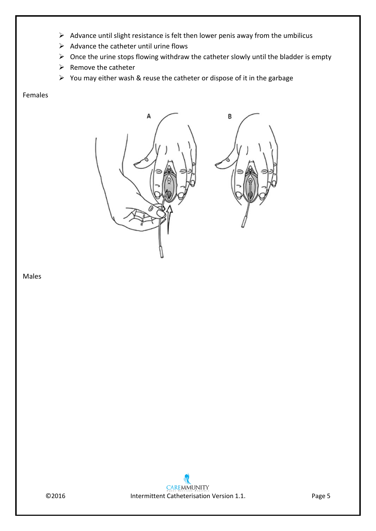- $\triangleright$  Advance until slight resistance is felt then lower penis away from the umbilicus
- $\triangleright$  Advance the catheter until urine flows
- $\triangleright$  Once the urine stops flowing withdraw the catheter slowly until the bladder is empty
- $\triangleright$  Remove the catheter
- $\triangleright$  You may either wash & reuse the catheter or dispose of it in the garbage

#### Females



#### Males

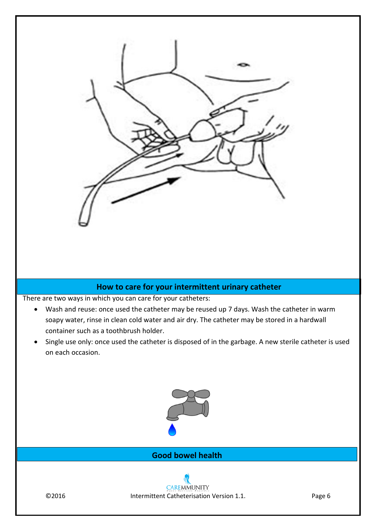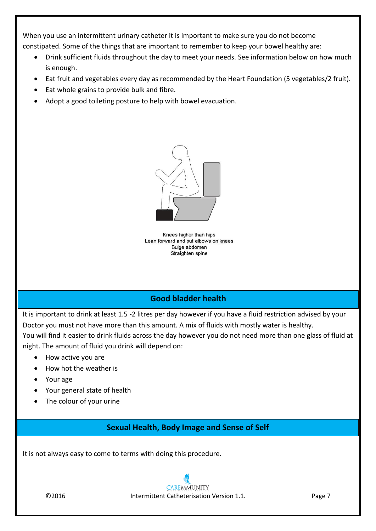When you use an intermittent urinary catheter it is important to make sure you do not become constipated. Some of the things that are important to remember to keep your bowel healthy are:

- Drink sufficient fluids throughout the day to meet your needs. See information below on how much is enough.
- Eat fruit and vegetables every day as recommended by the Heart Foundation (5 vegetables/2 fruit).
- Eat whole grains to provide bulk and fibre.
- Adopt a good toileting posture to help with bowel evacuation.



Knees higher than hips Lean forward and put elbows on knees Bulge abdomen Straighten spine

# **Good bladder health**

It is important to drink at least 1.5 -2 litres per day however if you have a fluid restriction advised by your Doctor you must not have more than this amount. A mix of fluids with mostly water is healthy. You will find it easier to drink fluids across the day however you do not need more than one glass of fluid at night. The amount of fluid you drink will depend on:

- How active you are
- How hot the weather is
- Your age
- Your general state of health
- The colour of your urine

# **Sexual Health, Body Image and Sense of Self**

It is not always easy to come to terms with doing this procedure.

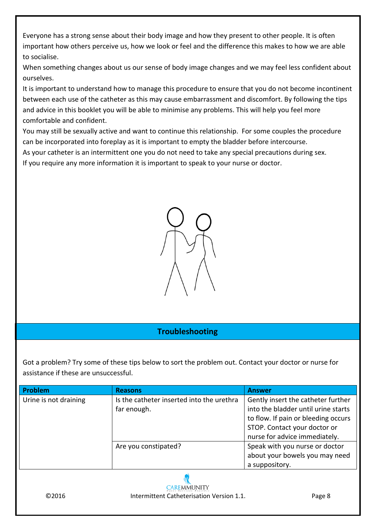Everyone has a strong sense about their body image and how they present to other people. It is often important how others perceive us, how we look or feel and the difference this makes to how we are able to socialise.

When something changes about us our sense of body image changes and we may feel less confident about ourselves.

It is important to understand how to manage this procedure to ensure that you do not become incontinent between each use of the catheter as this may cause embarrassment and discomfort. By following the tips and advice in this booklet you will be able to minimise any problems. This will help you feel more comfortable and confident.

You may still be sexually active and want to continue this relationship. For some couples the procedure can be incorporated into foreplay as it is important to empty the bladder before intercourse.

As your catheter is an intermittent one you do not need to take any special precautions during sex.

If you require any more information it is important to speak to your nurse or doctor.



# **Troubleshooting**

Got a problem? Try some of these tips below to sort the problem out. Contact your doctor or nurse for assistance if these are unsuccessful.

| Problem               | <b>Reasons</b>                            | <b>Answer</b>                       |
|-----------------------|-------------------------------------------|-------------------------------------|
| Urine is not draining | Is the catheter inserted into the urethra | Gently insert the catheter further  |
|                       | far enough.                               | into the bladder until urine starts |
|                       |                                           | to flow. If pain or bleeding occurs |
|                       |                                           | STOP. Contact your doctor or        |
|                       |                                           | nurse for advice immediately.       |
|                       | Are you constipated?                      | Speak with you nurse or doctor      |
|                       |                                           | about your bowels you may need      |
|                       |                                           | a suppository.                      |